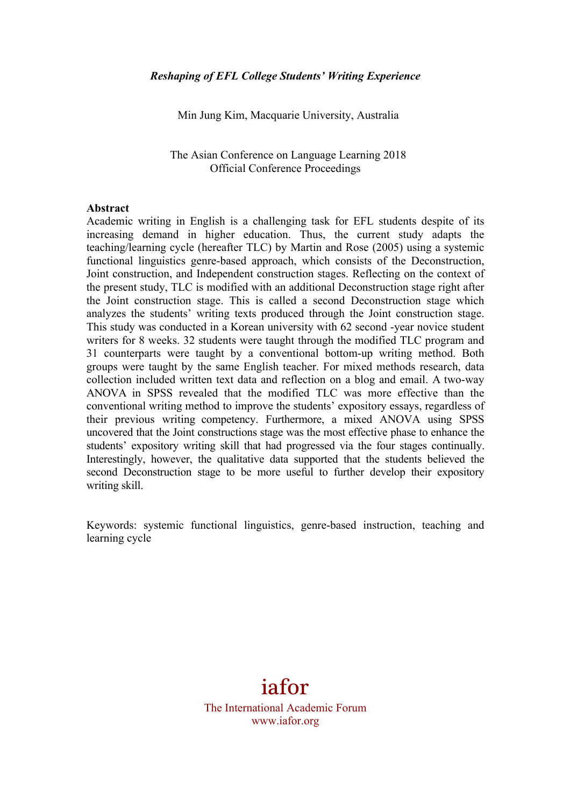Min Jung Kim, Macquarie University, Australia

The Asian Conference on Language Learning 2018 Official Conference Proceedings

#### **Abstract**

Academic writing in English is a challenging task for EFL students despite of its increasing demand in higher education. Thus, the current study adapts the teaching/learning cycle (hereafter TLC) by Martin and Rose (2005) using a systemic functional linguistics genre-based approach, which consists of the Deconstruction, Joint construction, and Independent construction stages. Reflecting on the context of the present study, TLC is modified with an additional Deconstruction stage right after the Joint construction stage. This is called a second Deconstruction stage which analyzes the students' writing texts produced through the Joint construction stage. This study was conducted in a Korean university with 62 second -year novice student writers for 8 weeks. 32 students were taught through the modified TLC program and 31 counterparts were taught by a conventional bottom-up writing method. Both groups were taught by the same English teacher. For mixed methods research, data collection included written text data and reflection on a blog and email. A two-way ANOVA in SPSS revealed that the modified TLC was more effective than the conventional writing method to improve the students' expository essays, regardless of their previous writing competency. Furthermore, a mixed ANOVA using SPSS uncovered that the Joint constructions stage was the most effective phase to enhance the students' expository writing skill that had progressed via the four stages continually. Interestingly, however, the qualitative data supported that the students believed the second Deconstruction stage to be more useful to further develop their expository writing skill.

Keywords: systemic functional linguistics, genre-based instruction, teaching and learning cycle

# iafor

The International Academic Forum www.iafor.org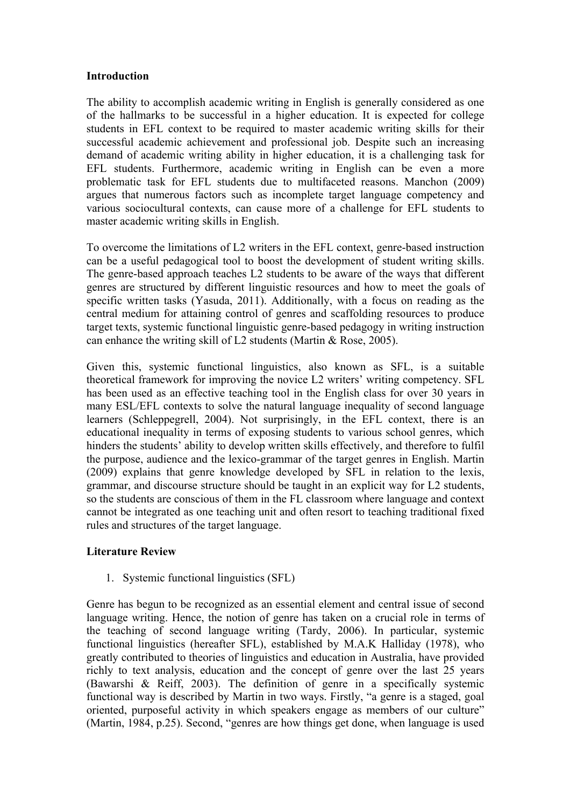# **Introduction**

The ability to accomplish academic writing in English is generally considered as one of the hallmarks to be successful in a higher education. It is expected for college students in EFL context to be required to master academic writing skills for their successful academic achievement and professional job. Despite such an increasing demand of academic writing ability in higher education, it is a challenging task for EFL students. Furthermore, academic writing in English can be even a more problematic task for EFL students due to multifaceted reasons. Manchon (2009) argues that numerous factors such as incomplete target language competency and various sociocultural contexts, can cause more of a challenge for EFL students to master academic writing skills in English.

To overcome the limitations of L2 writers in the EFL context, genre-based instruction can be a useful pedagogical tool to boost the development of student writing skills. The genre-based approach teaches L2 students to be aware of the ways that different genres are structured by different linguistic resources and how to meet the goals of specific written tasks (Yasuda, 2011). Additionally, with a focus on reading as the central medium for attaining control of genres and scaffolding resources to produce target texts, systemic functional linguistic genre-based pedagogy in writing instruction can enhance the writing skill of L2 students (Martin & Rose, 2005).

Given this, systemic functional linguistics, also known as SFL, is a suitable theoretical framework for improving the novice L2 writers' writing competency. SFL has been used as an effective teaching tool in the English class for over 30 years in many ESL/EFL contexts to solve the natural language inequality of second language learners (Schleppegrell, 2004). Not surprisingly, in the EFL context, there is an educational inequality in terms of exposing students to various school genres, which hinders the students' ability to develop written skills effectively, and therefore to fulfil the purpose, audience and the lexico-grammar of the target genres in English. Martin (2009) explains that genre knowledge developed by SFL in relation to the lexis, grammar, and discourse structure should be taught in an explicit way for L2 students, so the students are conscious of them in the FL classroom where language and context cannot be integrated as one teaching unit and often resort to teaching traditional fixed rules and structures of the target language.

# **Literature Review**

1. Systemic functional linguistics (SFL)

Genre has begun to be recognized as an essential element and central issue of second language writing. Hence, the notion of genre has taken on a crucial role in terms of the teaching of second language writing (Tardy, 2006). In particular, systemic functional linguistics (hereafter SFL), established by M.A.K Halliday (1978), who greatly contributed to theories of linguistics and education in Australia, have provided richly to text analysis, education and the concept of genre over the last 25 years (Bawarshi & Reiff, 2003). The definition of genre in a specifically systemic functional way is described by Martin in two ways. Firstly, "a genre is a staged, goal oriented, purposeful activity in which speakers engage as members of our culture" (Martin, 1984, p.25). Second, "genres are how things get done, when language is used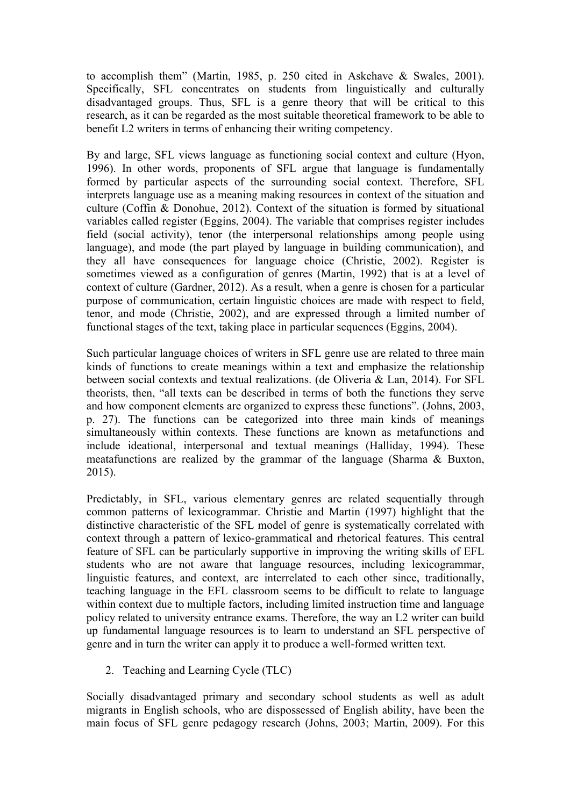to accomplish them" (Martin, 1985, p. 250 cited in Askehave & Swales, 2001). Specifically, SFL concentrates on students from linguistically and culturally disadvantaged groups. Thus, SFL is a genre theory that will be critical to this research, as it can be regarded as the most suitable theoretical framework to be able to benefit L2 writers in terms of enhancing their writing competency.

By and large, SFL views language as functioning social context and culture (Hyon, 1996). In other words, proponents of SFL argue that language is fundamentally formed by particular aspects of the surrounding social context. Therefore, SFL interprets language use as a meaning making resources in context of the situation and culture (Coffin & Donohue, 2012). Context of the situation is formed by situational variables called register (Eggins, 2004). The variable that comprises register includes field (social activity), tenor (the interpersonal relationships among people using language), and mode (the part played by language in building communication), and they all have consequences for language choice (Christie, 2002). Register is sometimes viewed as a configuration of genres (Martin, 1992) that is at a level of context of culture (Gardner, 2012). As a result, when a genre is chosen for a particular purpose of communication, certain linguistic choices are made with respect to field, tenor, and mode (Christie, 2002), and are expressed through a limited number of functional stages of the text, taking place in particular sequences (Eggins, 2004).

Such particular language choices of writers in SFL genre use are related to three main kinds of functions to create meanings within a text and emphasize the relationship between social contexts and textual realizations. (de Oliveria & Lan, 2014). For SFL theorists, then, "all texts can be described in terms of both the functions they serve and how component elements are organized to express these functions". (Johns, 2003, p. 27). The functions can be categorized into three main kinds of meanings simultaneously within contexts. These functions are known as metafunctions and include ideational, interpersonal and textual meanings (Halliday, 1994). These meatafunctions are realized by the grammar of the language (Sharma & Buxton, 2015).

Predictably, in SFL, various elementary genres are related sequentially through common patterns of lexicogrammar. Christie and Martin (1997) highlight that the distinctive characteristic of the SFL model of genre is systematically correlated with context through a pattern of lexico-grammatical and rhetorical features. This central feature of SFL can be particularly supportive in improving the writing skills of EFL students who are not aware that language resources, including lexicogrammar, linguistic features, and context, are interrelated to each other since, traditionally, teaching language in the EFL classroom seems to be difficult to relate to language within context due to multiple factors, including limited instruction time and language policy related to university entrance exams. Therefore, the way an L2 writer can build up fundamental language resources is to learn to understand an SFL perspective of genre and in turn the writer can apply it to produce a well-formed written text.

2. Teaching and Learning Cycle (TLC)

Socially disadvantaged primary and secondary school students as well as adult migrants in English schools, who are dispossessed of English ability, have been the main focus of SFL genre pedagogy research (Johns, 2003; Martin, 2009). For this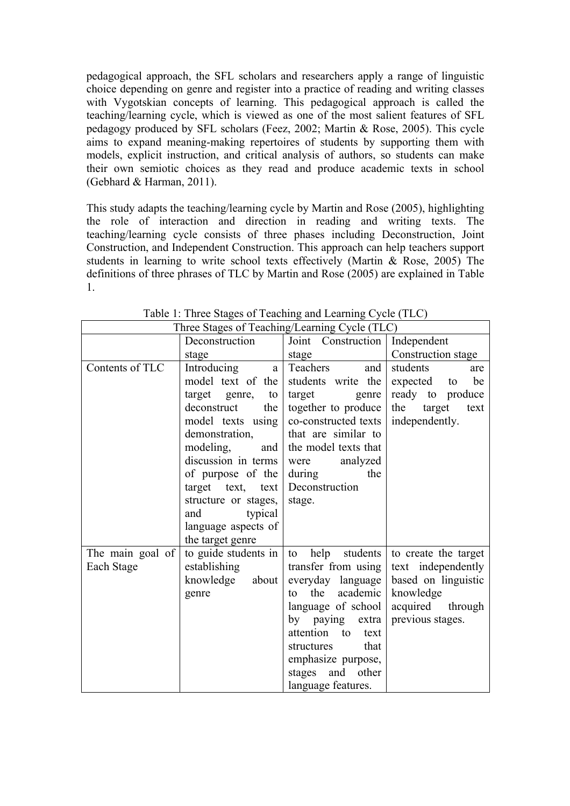pedagogical approach, the SFL scholars and researchers apply a range of linguistic choice depending on genre and register into a practice of reading and writing classes with Vygotskian concepts of learning. This pedagogical approach is called the teaching/learning cycle, which is viewed as one of the most salient features of SFL pedagogy produced by SFL scholars (Feez, 2002; Martin & Rose, 2005). This cycle aims to expand meaning-making repertoires of students by supporting them with models, explicit instruction, and critical analysis of authors, so students can make their own semiotic choices as they read and produce academic texts in school (Gebhard & Harman, 2011).

This study adapts the teaching/learning cycle by Martin and Rose (2005), highlighting the role of interaction and direction in reading and writing texts. The teaching/learning cycle consists of three phases including Deconstruction, Joint Construction, and Independent Construction. This approach can help teachers support students in learning to write school texts effectively (Martin & Rose, 2005) The definitions of three phrases of TLC by Martin and Rose (2005) are explained in Table 1.

|                  | Three stages of Teaching/Learning Cycle (TLC) |                          |                       |  |  |
|------------------|-----------------------------------------------|--------------------------|-----------------------|--|--|
|                  | Deconstruction                                | Joint Construction       | Independent           |  |  |
|                  | stage                                         | stage                    | Construction stage    |  |  |
| Contents of TLC  | Introducing<br>a l                            | Teachers<br>and          | students<br>are       |  |  |
|                  | model text of the                             | students write the       | be<br>expected to     |  |  |
|                  | target genre,<br>to                           | target<br>genre          | ready to produce      |  |  |
|                  | deconstruct<br>the                            | together to produce      | the<br>target<br>text |  |  |
|                  | model texts using                             | co-constructed texts     | independently.        |  |  |
|                  | demonstration,                                | that are similar to      |                       |  |  |
|                  | modeling,<br>and                              | the model texts that     |                       |  |  |
|                  | discussion in terms                           | were<br>analyzed         |                       |  |  |
|                  | of purpose of the                             | during<br>the            |                       |  |  |
|                  | target text, text                             | Deconstruction           |                       |  |  |
|                  | structure or stages,                          | stage.                   |                       |  |  |
|                  | typical<br>and                                |                          |                       |  |  |
|                  | language aspects of                           |                          |                       |  |  |
|                  | the target genre                              |                          |                       |  |  |
| The main goal of | to guide students in                          | students  <br>help<br>to | to create the target  |  |  |
| Each Stage       | establishing                                  | transfer from using      | text independently    |  |  |
|                  | knowledge about                               | everyday language        | based on linguistic   |  |  |
|                  | genre                                         | the<br>academic<br>tο    | knowledge             |  |  |
|                  |                                               | language of school       | acquired through      |  |  |
|                  |                                               | by paying extra          | previous stages.      |  |  |
|                  |                                               | attention to<br>text     |                       |  |  |
|                  |                                               | that<br>structures       |                       |  |  |
|                  |                                               | emphasize purpose,       |                       |  |  |
|                  |                                               | stages and other         |                       |  |  |
|                  |                                               | language features.       |                       |  |  |

Table 1: Three Stages of Teaching and Learning Cycle (TLC)  $\overline{\text{Three Staces of Tesching/Lerrino Cval} \text{ (TLO)}}$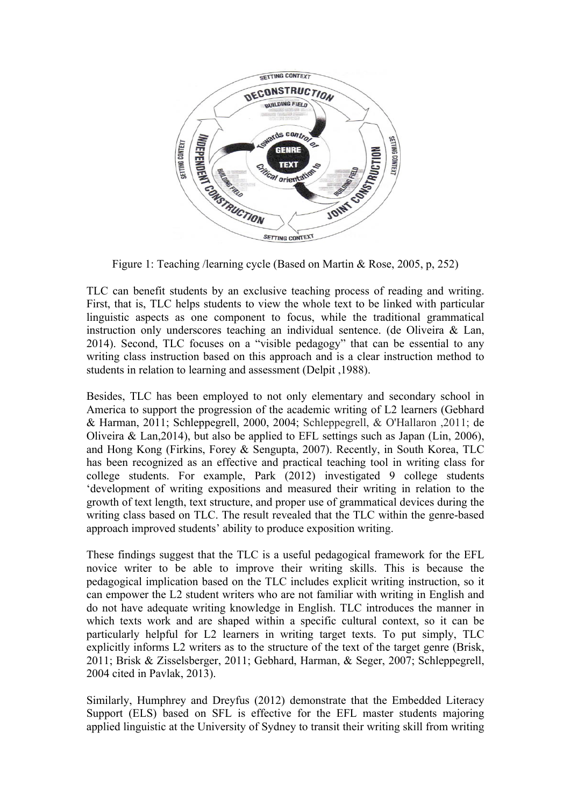

Figure 1: Teaching /learning cycle (Based on Martin & Rose, 2005, p, 252)

TLC can benefit students by an exclusive teaching process of reading and writing. First, that is, TLC helps students to view the whole text to be linked with particular linguistic aspects as one component to focus, while the traditional grammatical instruction only underscores teaching an individual sentence. (de Oliveira & Lan, 2014). Second, TLC focuses on a "visible pedagogy" that can be essential to any writing class instruction based on this approach and is a clear instruction method to students in relation to learning and assessment (Delpit ,1988).

Besides, TLC has been employed to not only elementary and secondary school in America to support the progression of the academic writing of L2 learners (Gebhard & Harman, 2011; Schleppegrell, 2000, 2004; Schleppegrell, & O'Hallaron ,2011; de Oliveira & Lan,2014), but also be applied to EFL settings such as Japan (Lin, 2006), and Hong Kong (Firkins, Forey & Sengupta, 2007). Recently, in South Korea, TLC has been recognized as an effective and practical teaching tool in writing class for college students. For example, Park (2012) investigated 9 college students 'development of writing expositions and measured their writing in relation to the growth of text length, text structure, and proper use of grammatical devices during the writing class based on TLC. The result revealed that the TLC within the genre-based approach improved students' ability to produce exposition writing.

These findings suggest that the TLC is a useful pedagogical framework for the EFL novice writer to be able to improve their writing skills. This is because the pedagogical implication based on the TLC includes explicit writing instruction, so it can empower the L2 student writers who are not familiar with writing in English and do not have adequate writing knowledge in English. TLC introduces the manner in which texts work and are shaped within a specific cultural context, so it can be particularly helpful for L2 learners in writing target texts. To put simply, TLC explicitly informs L2 writers as to the structure of the text of the target genre (Brisk, 2011; Brisk & Zisselsberger, 2011; Gebhard, Harman, & Seger, 2007; Schleppegrell, 2004 cited in Pavlak, 2013).

Similarly, Humphrey and Dreyfus (2012) demonstrate that the Embedded Literacy Support (ELS) based on SFL is effective for the EFL master students majoring applied linguistic at the University of Sydney to transit their writing skill from writing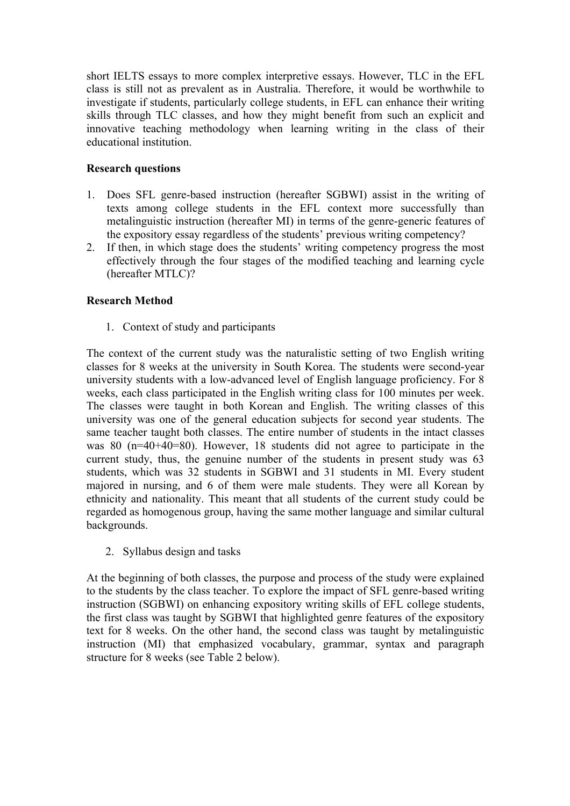short IELTS essays to more complex interpretive essays. However, TLC in the EFL class is still not as prevalent as in Australia. Therefore, it would be worthwhile to investigate if students, particularly college students, in EFL can enhance their writing skills through TLC classes, and how they might benefit from such an explicit and innovative teaching methodology when learning writing in the class of their educational institution.

# **Research questions**

- 1. Does SFL genre-based instruction (hereafter SGBWI) assist in the writing of texts among college students in the EFL context more successfully than metalinguistic instruction (hereafter MI) in terms of the genre-generic features of the expository essay regardless of the students' previous writing competency?
- 2. If then, in which stage does the students' writing competency progress the most effectively through the four stages of the modified teaching and learning cycle (hereafter MTLC)?

# **Research Method**

1. Context of study and participants

The context of the current study was the naturalistic setting of two English writing classes for 8 weeks at the university in South Korea. The students were second-year university students with a low-advanced level of English language proficiency. For 8 weeks, each class participated in the English writing class for 100 minutes per week. The classes were taught in both Korean and English. The writing classes of this university was one of the general education subjects for second year students. The same teacher taught both classes. The entire number of students in the intact classes was 80 ( $n=40+40=80$ ). However, 18 students did not agree to participate in the current study, thus, the genuine number of the students in present study was 63 students, which was 32 students in SGBWI and 31 students in MI. Every student majored in nursing, and 6 of them were male students. They were all Korean by ethnicity and nationality. This meant that all students of the current study could be regarded as homogenous group, having the same mother language and similar cultural backgrounds.

2. Syllabus design and tasks

At the beginning of both classes, the purpose and process of the study were explained to the students by the class teacher. To explore the impact of SFL genre-based writing instruction (SGBWI) on enhancing expository writing skills of EFL college students, the first class was taught by SGBWI that highlighted genre features of the expository text for 8 weeks. On the other hand, the second class was taught by metalinguistic instruction (MI) that emphasized vocabulary, grammar, syntax and paragraph structure for 8 weeks (see Table 2 below).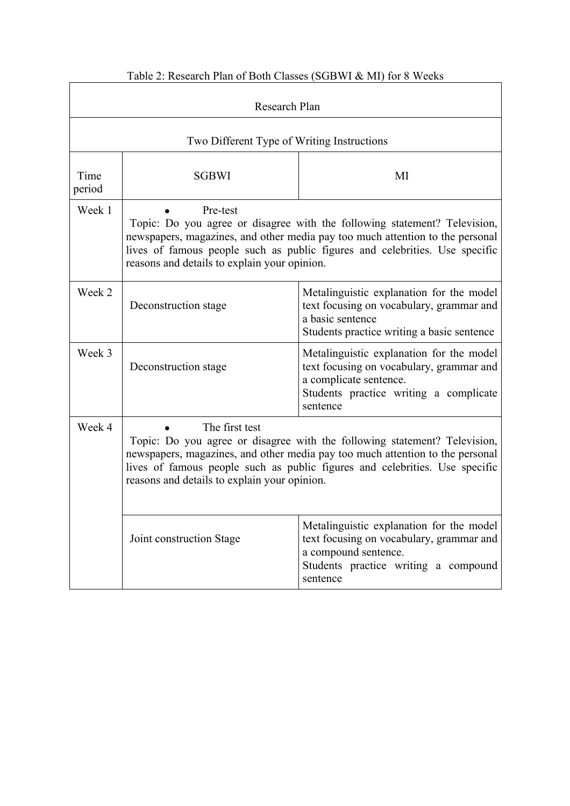| Research Plan  |                                                                                                                                                                                                                                                                                                             |                                                                                                                                                                      |  |  |  |  |  |
|----------------|-------------------------------------------------------------------------------------------------------------------------------------------------------------------------------------------------------------------------------------------------------------------------------------------------------------|----------------------------------------------------------------------------------------------------------------------------------------------------------------------|--|--|--|--|--|
|                | Two Different Type of Writing Instructions                                                                                                                                                                                                                                                                  |                                                                                                                                                                      |  |  |  |  |  |
| Time<br>period | <b>SGBWI</b><br>MI                                                                                                                                                                                                                                                                                          |                                                                                                                                                                      |  |  |  |  |  |
| Week 1         | Pre-test<br>Topic: Do you agree or disagree with the following statement? Television,<br>newspapers, magazines, and other media pay too much attention to the personal<br>lives of famous people such as public figures and celebrities. Use specific<br>reasons and details to explain your opinion.       |                                                                                                                                                                      |  |  |  |  |  |
| Week 2         | Deconstruction stage                                                                                                                                                                                                                                                                                        | Metalinguistic explanation for the model<br>text focusing on vocabulary, grammar and<br>a basic sentence<br>Students practice writing a basic sentence               |  |  |  |  |  |
| Week 3         | Deconstruction stage                                                                                                                                                                                                                                                                                        | Metalinguistic explanation for the model<br>text focusing on vocabulary, grammar and<br>a complicate sentence.<br>Students practice writing a complicate<br>sentence |  |  |  |  |  |
| Week 4         | The first test<br>Topic: Do you agree or disagree with the following statement? Television,<br>newspapers, magazines, and other media pay too much attention to the personal<br>lives of famous people such as public figures and celebrities. Use specific<br>reasons and details to explain your opinion. |                                                                                                                                                                      |  |  |  |  |  |
|                | Joint construction Stage                                                                                                                                                                                                                                                                                    | Metalinguistic explanation for the model<br>text focusing on vocabulary, grammar and<br>a compound sentence.<br>Students practice writing a compound<br>sentence     |  |  |  |  |  |

# Table 2: Research Plan of Both Classes (SGBWI & MI) for 8 Weeks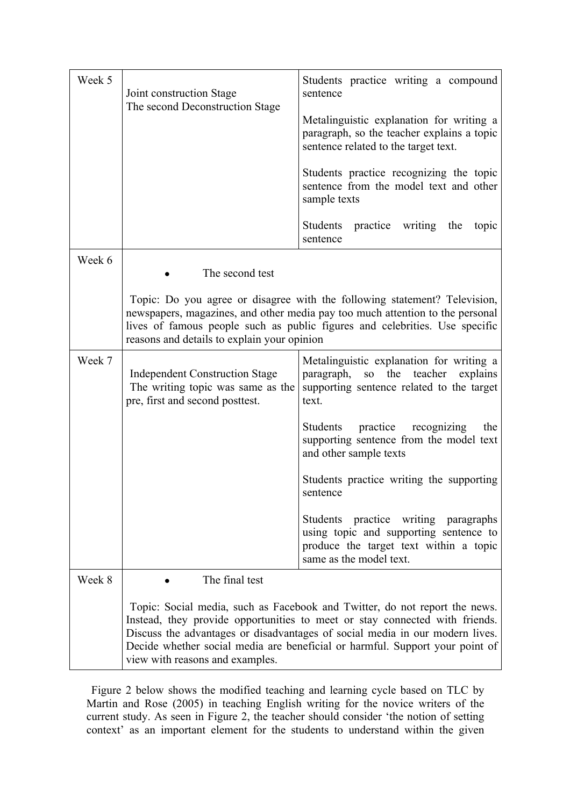| Week 5 | Joint construction Stage<br>The second Deconstruction Stage                                                                                                                                                                                                                                                                                                  | Students practice writing a compound<br>sentence<br>Metalinguistic explanation for writing a<br>paragraph, so the teacher explains a topic                 |  |  |  |  |  |
|--------|--------------------------------------------------------------------------------------------------------------------------------------------------------------------------------------------------------------------------------------------------------------------------------------------------------------------------------------------------------------|------------------------------------------------------------------------------------------------------------------------------------------------------------|--|--|--|--|--|
|        |                                                                                                                                                                                                                                                                                                                                                              | sentence related to the target text.                                                                                                                       |  |  |  |  |  |
|        |                                                                                                                                                                                                                                                                                                                                                              | Students practice recognizing the topic<br>sentence from the model text and other<br>sample texts                                                          |  |  |  |  |  |
|        |                                                                                                                                                                                                                                                                                                                                                              | Students practice<br>writing<br>the<br>topic<br>sentence                                                                                                   |  |  |  |  |  |
| Week 6 | The second test                                                                                                                                                                                                                                                                                                                                              |                                                                                                                                                            |  |  |  |  |  |
|        | Topic: Do you agree or disagree with the following statement? Television,<br>newspapers, magazines, and other media pay too much attention to the personal<br>lives of famous people such as public figures and celebrities. Use specific<br>reasons and details to explain your opinion                                                                     |                                                                                                                                                            |  |  |  |  |  |
| Week 7 | <b>Independent Construction Stage</b><br>The writing topic was same as the<br>pre, first and second posttest.                                                                                                                                                                                                                                                | Metalinguistic explanation for writing a<br>the teacher<br>paragraph,<br>SO <sub>1</sub><br>explains<br>supporting sentence related to the target<br>text. |  |  |  |  |  |
|        |                                                                                                                                                                                                                                                                                                                                                              | Students<br>practice<br>recognizing<br>the<br>supporting sentence from the model text<br>and other sample texts                                            |  |  |  |  |  |
|        |                                                                                                                                                                                                                                                                                                                                                              | Students practice writing the supporting<br>sentence                                                                                                       |  |  |  |  |  |
|        |                                                                                                                                                                                                                                                                                                                                                              | Students practice writing paragraphs<br>using topic and supporting sentence to<br>produce the target text within a topic<br>same as the model text.        |  |  |  |  |  |
| Week 8 | The final test                                                                                                                                                                                                                                                                                                                                               |                                                                                                                                                            |  |  |  |  |  |
|        | Topic: Social media, such as Facebook and Twitter, do not report the news.<br>Instead, they provide opportunities to meet or stay connected with friends.<br>Discuss the advantages or disadvantages of social media in our modern lives.<br>Decide whether social media are beneficial or harmful. Support your point of<br>view with reasons and examples. |                                                                                                                                                            |  |  |  |  |  |

Figure 2 below shows the modified teaching and learning cycle based on TLC by Martin and Rose (2005) in teaching English writing for the novice writers of the current study. As seen in Figure 2, the teacher should consider 'the notion of setting context' as an important element for the students to understand within the given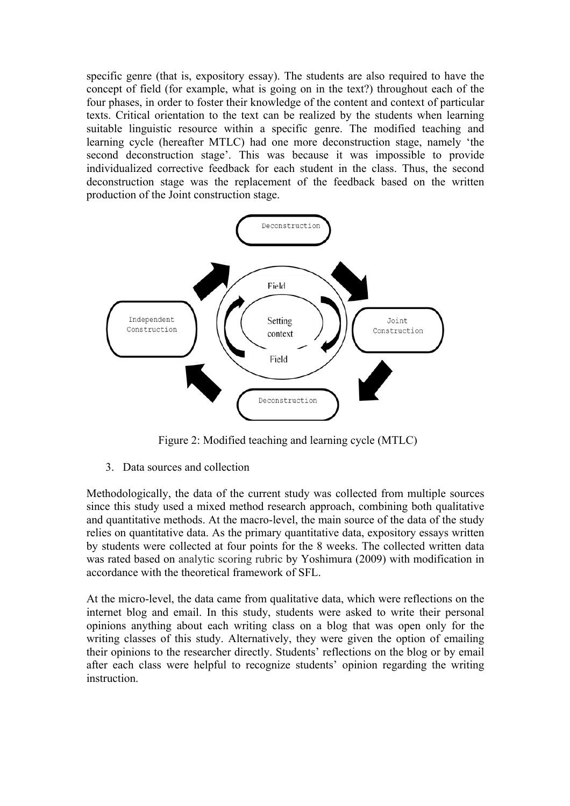specific genre (that is, expository essay). The students are also required to have the concept of field (for example, what is going on in the text?) throughout each of the four phases, in order to foster their knowledge of the content and context of particular texts. Critical orientation to the text can be realized by the students when learning suitable linguistic resource within a specific genre. The modified teaching and learning cycle (hereafter MTLC) had one more deconstruction stage, namely 'the second deconstruction stage'. This was because it was impossible to provide individualized corrective feedback for each student in the class. Thus, the second deconstruction stage was the replacement of the feedback based on the written production of the Joint construction stage.



Figure 2: Modified teaching and learning cycle (MTLC)

3. Data sources and collection

Methodologically, the data of the current study was collected from multiple sources since this study used a mixed method research approach, combining both qualitative and quantitative methods. At the macro-level, the main source of the data of the study relies on quantitative data. As the primary quantitative data, expository essays written by students were collected at four points for the 8 weeks. The collected written data was rated based on analytic scoring rubric by Yoshimura (2009) with modification in accordance with the theoretical framework of SFL.

At the micro-level, the data came from qualitative data, which were reflections on the internet blog and email. In this study, students were asked to write their personal opinions anything about each writing class on a blog that was open only for the writing classes of this study. Alternatively, they were given the option of emailing their opinions to the researcher directly. Students' reflections on the blog or by email after each class were helpful to recognize students' opinion regarding the writing instruction.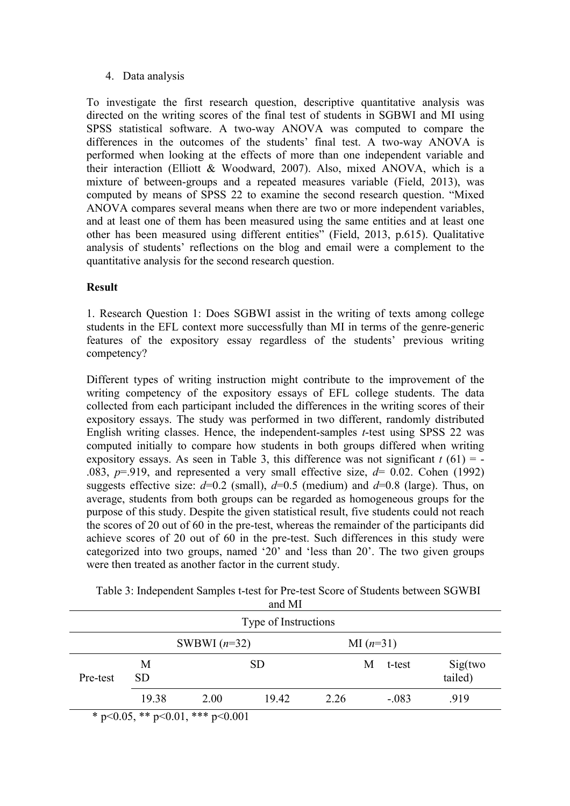# 4. Data analysis

To investigate the first research question, descriptive quantitative analysis was directed on the writing scores of the final test of students in SGBWI and MI using SPSS statistical software. A two-way ANOVA was computed to compare the differences in the outcomes of the students' final test. A two-way ANOVA is performed when looking at the effects of more than one independent variable and their interaction (Elliott & Woodward, 2007). Also, mixed ANOVA, which is a mixture of between-groups and a repeated measures variable (Field, 2013), was computed by means of SPSS 22 to examine the second research question. "Mixed ANOVA compares several means when there are two or more independent variables, and at least one of them has been measured using the same entities and at least one other has been measured using different entities" (Field, 2013, p.615). Qualitative analysis of students' reflections on the blog and email were a complement to the quantitative analysis for the second research question.

# **Result**

1. Research Question 1: Does SGBWI assist in the writing of texts among college students in the EFL context more successfully than MI in terms of the genre-generic features of the expository essay regardless of the students' previous writing competency?

Different types of writing instruction might contribute to the improvement of the writing competency of the expository essays of EFL college students. The data collected from each participant included the differences in the writing scores of their expository essays. The study was performed in two different, randomly distributed English writing classes. Hence, the independent-samples *t*-test using SPSS 22 was computed initially to compare how students in both groups differed when writing expository essays. As seen in Table 3, this difference was not significant  $t(61) = -$ .083,  $p=0.919$ , and represented a very small effective size,  $d=0.02$ . Cohen (1992) suggests effective size:  $d=0.2$  (small),  $d=0.5$  (medium) and  $d=0.8$  (large). Thus, on average, students from both groups can be regarded as homogeneous groups for the purpose of this study. Despite the given statistical result, five students could not reach the scores of 20 out of 60 in the pre-test, whereas the remainder of the participants did achieve scores of 20 out of 60 in the pre-test. Such differences in this study were categorized into two groups, named '20' and 'less than 20'. The two given groups were then treated as another factor in the current study.

|                               | and MI                                   |      |       |      |        |                    |      |  |  |
|-------------------------------|------------------------------------------|------|-------|------|--------|--------------------|------|--|--|
|                               | Type of Instructions                     |      |       |      |        |                    |      |  |  |
| SWBWI $(n=32)$<br>MI $(n=31)$ |                                          |      |       |      |        |                    |      |  |  |
| Pre-test                      | M<br><b>SD</b>                           |      |       | M    | t-test | Sig(two<br>tailed) |      |  |  |
|                               | 19.38                                    | 2.00 | 19.42 | 2.26 |        | $-.083$            | .919 |  |  |
|                               | * $p<0.05$ , ** $p<0.01$ , *** $p<0.001$ |      |       |      |        |                    |      |  |  |

| Table 3: Independent Samples t-test for Pre-test Score of Students between SGWBI |  |
|----------------------------------------------------------------------------------|--|
| and MI                                                                           |  |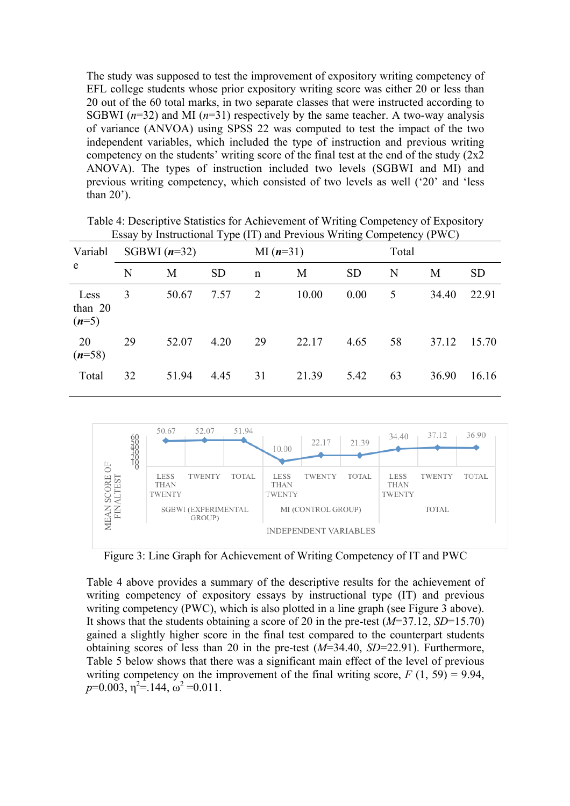The study was supposed to test the improvement of expository writing competency of EFL college students whose prior expository writing score was either 20 or less than 20 out of the 60 total marks, in two separate classes that were instructed according to SGBWI  $(n=32)$  and MI  $(n=31)$  respectively by the same teacher. A two-way analysis of variance (ANVOA) using SPSS 22 was computed to test the impact of the two independent variables, which included the type of instruction and previous writing competency on the students' writing score of the final test at the end of the study  $(2x^2)$ ANOVA). The types of instruction included two levels (SGBWI and MI) and previous writing competency, which consisted of two levels as well ('20' and 'less than 20').

| Variabl                      |    | SGBWI $(n=32)$ | J 1       | MI $(n=31)$  |       |           | Total |       |           |  |  |
|------------------------------|----|----------------|-----------|--------------|-------|-----------|-------|-------|-----------|--|--|
| e                            | N  | M              | <b>SD</b> | $\mathsf{n}$ | M     | <b>SD</b> | N     | M     | <b>SD</b> |  |  |
| Less<br>than $20$<br>$(n=5)$ | 3  | 50.67          | 7.57      | 2            | 10.00 | 0.00      | 5     | 34.40 | 22.91     |  |  |
| 20<br>$(n=58)$               | 29 | 52.07          | 4.20      | 29           | 22.17 | 4.65      | 58    | 37.12 | 15.70     |  |  |
| Total                        | 32 | 51.94          | 4.45      | 31           | 21.39 | 5.42      | 63    | 36.90 | 16.16     |  |  |

Table 4: Descriptive Statistics for Achievement of Writing Competency of Expository Essay by Instructional Type (IT) and Previous Writing Competency (PWC)



Figure 3: Line Graph for Achievement of Writing Competency of IT and PWC

Table 4 above provides a summary of the descriptive results for the achievement of writing competency of expository essays by instructional type (IT) and previous writing competency (PWC), which is also plotted in a line graph (see Figure 3 above). It shows that the students obtaining a score of 20 in the pre-test (*M*=37.12, *SD*=15.70) gained a slightly higher score in the final test compared to the counterpart students obtaining scores of less than 20 in the pre-test (*M*=34.40, *SD*=22.91). Furthermore, Table 5 below shows that there was a significant main effect of the level of previous writing competency on the improvement of the final writing score,  $F(1, 59) = 9.94$ ,  $p=0.003$ ,  $\eta^2=144$ ,  $\omega^2=0.011$ .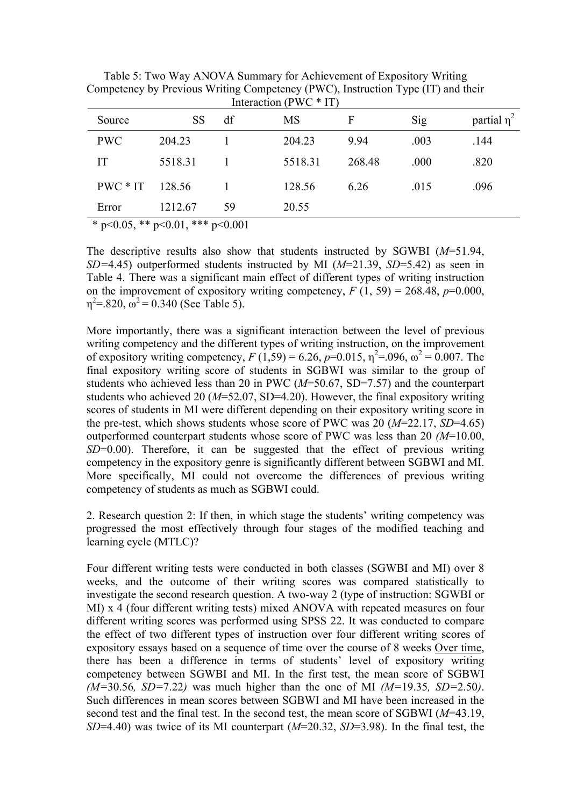| Interaction (PWC $*$ IT) |                                                        |    |           |        |      |                  |  |  |
|--------------------------|--------------------------------------------------------|----|-----------|--------|------|------------------|--|--|
| Source                   | <b>SS</b>                                              | df | <b>MS</b> | F      | Sig  | partial $\eta^2$ |  |  |
| <b>PWC</b>               | 204.23                                                 |    | 204.23    | 9.94   | .003 | .144             |  |  |
| IT                       | 5518.31                                                |    | 5518.31   | 268.48 | .000 | .820             |  |  |
| $PWC * IT$               | 128.56                                                 |    | 128.56    | 6.26   | .015 | .096             |  |  |
| Error                    | 1212.67                                                | 59 | 20.55     |        |      |                  |  |  |
|                          | * $\approx$ 0.05 ** $\approx$ 0.01 *** $\approx$ 0.001 |    |           |        |      |                  |  |  |

Table 5: Two Way ANOVA Summary for Achievement of Expository Writing Competency by Previous Writing Competency (PWC), Instruction Type (IT) and their

\* p<0.05, \*\* p<0.01, \*\*\* p<0.001

The descriptive results also show that students instructed by SGWBI (*M*=51.94, *SD=*4.45) outperformed students instructed by MI (*M*=21.39, *SD*=5.42) as seen in Table 4. There was a significant main effect of different types of writing instruction on the improvement of expository writing competency,  $F(1, 59) = 268.48$ ,  $p=0.000$ ,  $\eta^2 = 820$ ,  $\omega^2 = 0.340$  (See Table 5).

More importantly, there was a significant interaction between the level of previous writing competency and the different types of writing instruction, on the improvement of expository writing competency,  $F(1,59) = 6.26$ ,  $p=0.015$ ,  $\eta^2 = .096$ ,  $\omega^2 = 0.007$ . The final expository writing score of students in SGBWI was similar to the group of students who achieved less than 20 in PWC (*M*=50.67, SD=7.57) and the counterpart students who achieved 20 (*M*=52.07, SD=4.20). However, the final expository writing scores of students in MI were different depending on their expository writing score in the pre-test, which shows students whose score of PWC was 20 (*M*=22.17, *SD*=4.65) outperformed counterpart students whose score of PWC was less than 20 *(M*=10.00, *SD*=0.00). Therefore, it can be suggested that the effect of previous writing competency in the expository genre is significantly different between SGBWI and MI. More specifically, MI could not overcome the differences of previous writing competency of students as much as SGBWI could.

2. Research question 2: If then, in which stage the students' writing competency was progressed the most effectively through four stages of the modified teaching and learning cycle (MTLC)?

Four different writing tests were conducted in both classes (SGWBI and MI) over 8 weeks, and the outcome of their writing scores was compared statistically to investigate the second research question. A two-way 2 (type of instruction: SGWBI or MI) x 4 (four different writing tests) mixed ANOVA with repeated measures on four different writing scores was performed using SPSS 22. It was conducted to compare the effect of two different types of instruction over four different writing scores of expository essays based on a sequence of time over the course of 8 weeks Over time, there has been a difference in terms of students' level of expository writing competency between SGWBI and MI. In the first test, the mean score of SGBWI *(M=*30.56*, SD=*7.22*)* was much higher than the one of MI *(M=*19.35*, SD=*2.50*)*. Such differences in mean scores between SGBWI and MI have been increased in the second test and the final test. In the second test, the mean score of SGBWI (*M*=43.19, *SD*=4.40) was twice of its MI counterpart (*M*=20.32, *SD*=3.98). In the final test, the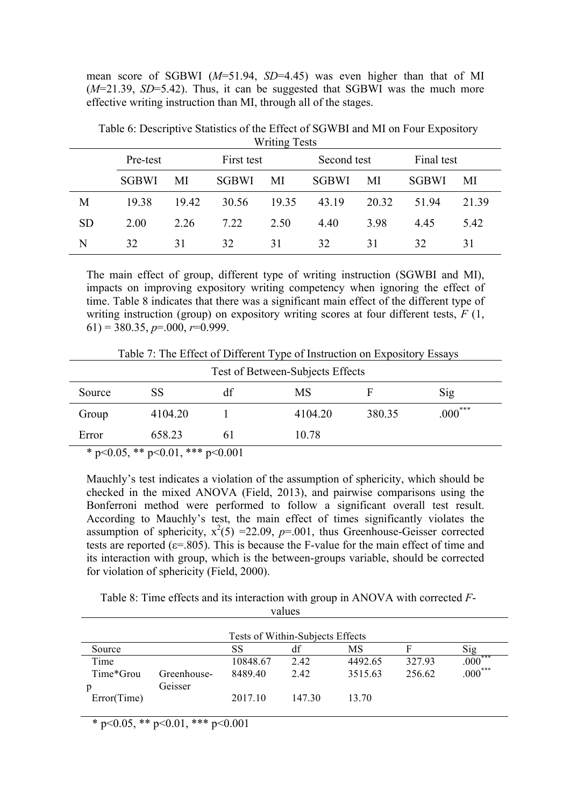mean score of SGBWI (*M*=51.94, *SD*=4.45) was even higher than that of MI (*M*=21.39, *SD*=5.42). Thus, it can be suggested that SGBWI was the much more effective writing instruction than MI, through all of the stages.

|           | V            |       |                           |       |              |       |              |       |  |
|-----------|--------------|-------|---------------------------|-------|--------------|-------|--------------|-------|--|
|           | Pre-test     |       | First test<br>Second test |       | Final test   |       |              |       |  |
|           | <b>SGBWI</b> | MI    | <b>SGBWI</b>              | MI    | <b>SGBWI</b> | MI    | <b>SGBWI</b> | MI    |  |
| M         | 19.38        | 19.42 | 30.56                     | 19.35 | 43.19        | 20.32 | 5194         | 21.39 |  |
| <b>SD</b> | 2.00         | 2.26  | 7.22                      | 2.50  | 4.40         | 3.98  | 4.45         | 5.42  |  |
| N         | 32           | 31    | 32                        | 31    | 32           | 31    | 32           | 31    |  |

Table 6: Descriptive Statistics of the Effect of SGWBI and MI on Four Expository Writing Tests

The main effect of group, different type of writing instruction (SGWBI and MI), impacts on improving expository writing competency when ignoring the effect of time. Table 8 indicates that there was a significant main effect of the different type of writing instruction (group) on expository writing scores at four different tests, *F* (1, 61) = 380.35, *p*=.000, *r*=0.999.

Table 7: The Effect of Different Type of Instruction on Expository Essays

| Test of Between-Subjects Effects |                                            |     |         |        |              |  |  |  |
|----------------------------------|--------------------------------------------|-----|---------|--------|--------------|--|--|--|
| Source                           | SS                                         | df  | MS      |        | Sig          |  |  |  |
| Group                            | 4104.20                                    |     | 4104.20 | 380.35 | $.000^{***}$ |  |  |  |
| Error                            | 658.23                                     | 6 I | 10.78   |        |              |  |  |  |
|                                  | $* n < 0.05$ ** $n < 0.01$ *** $n < 0.001$ |     |         |        |              |  |  |  |

 $p \leq 0.05$ , \*\*  $p \leq 0.01$ , \*\*\*  $p \leq 0.001$ 

Mauchly's test indicates a violation of the assumption of sphericity, which should be checked in the mixed ANOVA (Field, 2013), and pairwise comparisons using the Bonferroni method were performed to follow a significant overall test result. According to Mauchly's test, the main effect of times significantly violates the assumption of sphericity,  $x^2(5) = 22.09$ ,  $p=0.01$ , thus Greenhouse-Geisser corrected tests are reported ( $\varepsilon$ =.805). This is because the F-value for the main effect of time and its interaction with group, which is the between-groups variable, should be corrected for violation of sphericity (Field, 2000).

Table 8: Time effects and its interaction with group in ANOVA with corrected *F*values

|             |             | Tests of Within-Subjects Effects |        |         |        |           |
|-------------|-------------|----------------------------------|--------|---------|--------|-----------|
| Source      |             | SS                               | df     | MS      |        | Sig       |
| Time        |             | 10848.67                         | 2.42   | 4492.65 | 32793  | $.000***$ |
| Time*Grou   | Greenhouse- | 8489.40                          | 2.42   | 3515.63 | 256.62 | $.000***$ |
|             | Geisser     |                                  |        |         |        |           |
| Error(Time) |             | 2017.10                          | 147 30 | 13.70   |        |           |
|             |             |                                  |        |         |        |           |

 $*$  p<0.05, \*\* p<0.01, \*\*\* p<0.001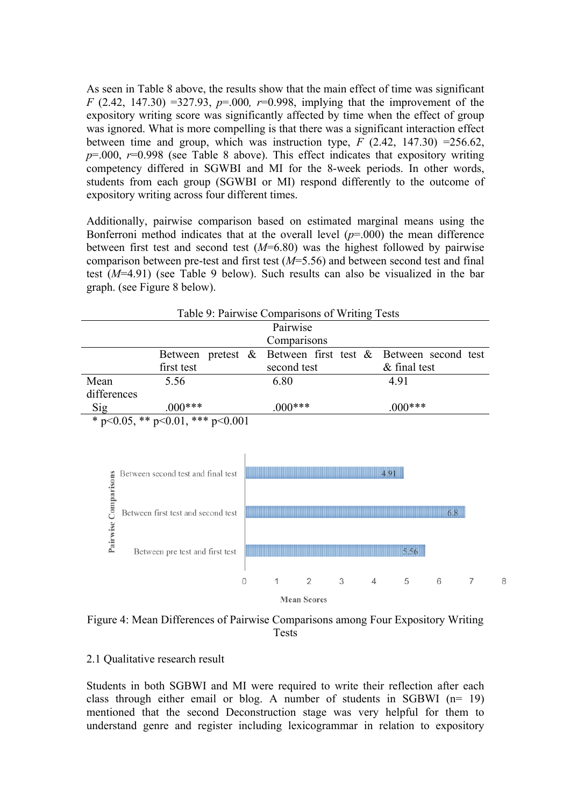As seen in Table 8 above, the results show that the main effect of time was significant *F* (2.42, 147.30) =327.93, *p*=.000*, r*=0.998, implying that the improvement of the expository writing score was significantly affected by time when the effect of group was ignored. What is more compelling is that there was a significant interaction effect between time and group, which was instruction type,  $\overline{F}$  (2.42, 147.30) =256.62,  $p=0.00$ ,  $r=0.998$  (see Table 8 above). This effect indicates that expository writing competency differed in SGWBI and MI for the 8-week periods. In other words, students from each group (SGWBI or MI) respond differently to the outcome of expository writing across four different times.

Additionally, pairwise comparison based on estimated marginal means using the Bonferroni method indicates that at the overall level  $(p=000)$  the mean difference between first test and second test (*M*=6.80) was the highest followed by pairwise comparison between pre-test and first test (*M*=5.56) and between second test and final test (*M*=4.91) (see Table 9 below). Such results can also be visualized in the bar graph. (see Figure 8 below).



Figure 4: Mean Differences of Pairwise Comparisons among Four Expository Writing Tests

### 2.1 Qualitative research result

Students in both SGBWI and MI were required to write their reflection after each class through either email or blog. A number of students in SGBWI (n= 19) mentioned that the second Deconstruction stage was very helpful for them to understand genre and register including lexicogrammar in relation to expository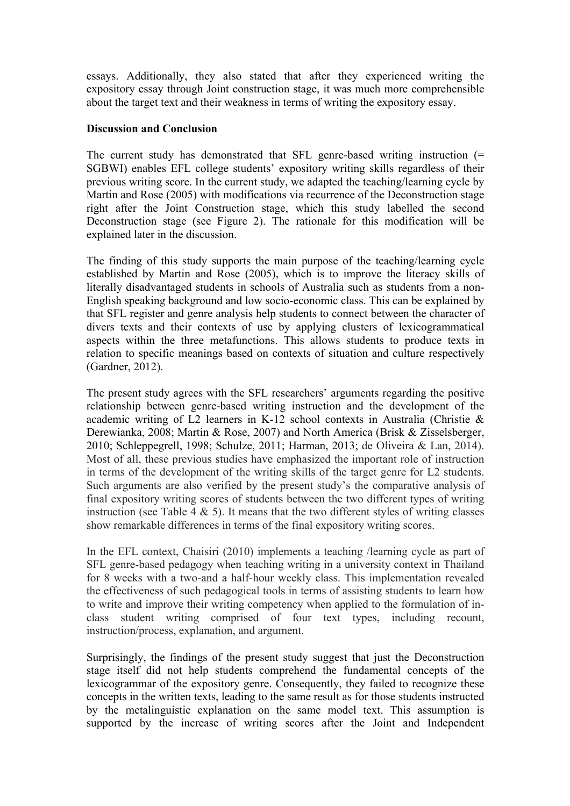essays. Additionally, they also stated that after they experienced writing the expository essay through Joint construction stage, it was much more comprehensible about the target text and their weakness in terms of writing the expository essay.

### **Discussion and Conclusion**

The current study has demonstrated that SFL genre-based writing instruction (= SGBWI) enables EFL college students' expository writing skills regardless of their previous writing score. In the current study, we adapted the teaching/learning cycle by Martin and Rose (2005) with modifications via recurrence of the Deconstruction stage right after the Joint Construction stage, which this study labelled the second Deconstruction stage (see Figure 2). The rationale for this modification will be explained later in the discussion.

The finding of this study supports the main purpose of the teaching/learning cycle established by Martin and Rose (2005), which is to improve the literacy skills of literally disadvantaged students in schools of Australia such as students from a non-English speaking background and low socio-economic class. This can be explained by that SFL register and genre analysis help students to connect between the character of divers texts and their contexts of use by applying clusters of lexicogrammatical aspects within the three metafunctions. This allows students to produce texts in relation to specific meanings based on contexts of situation and culture respectively (Gardner, 2012).

The present study agrees with the SFL researchers' arguments regarding the positive relationship between genre-based writing instruction and the development of the academic writing of L2 learners in K-12 school contexts in Australia (Christie & Derewianka, 2008; Martin & Rose, 2007) and North America (Brisk & Zisselsberger, 2010; Schleppegrell, 1998; Schulze, 2011; Harman, 2013; de Oliveira & Lan, 2014). Most of all, these previous studies have emphasized the important role of instruction in terms of the development of the writing skills of the target genre for L2 students. Such arguments are also verified by the present study's the comparative analysis of final expository writing scores of students between the two different types of writing instruction (see Table 4  $\&$  5). It means that the two different styles of writing classes show remarkable differences in terms of the final expository writing scores.

In the EFL context, Chaisiri (2010) implements a teaching /learning cycle as part of SFL genre-based pedagogy when teaching writing in a university context in Thailand for 8 weeks with a two-and a half-hour weekly class. This implementation revealed the effectiveness of such pedagogical tools in terms of assisting students to learn how to write and improve their writing competency when applied to the formulation of inclass student writing comprised of four text types, including recount, instruction/process, explanation, and argument.

Surprisingly, the findings of the present study suggest that just the Deconstruction stage itself did not help students comprehend the fundamental concepts of the lexicogrammar of the expository genre. Consequently, they failed to recognize these concepts in the written texts, leading to the same result as for those students instructed by the metalinguistic explanation on the same model text. This assumption is supported by the increase of writing scores after the Joint and Independent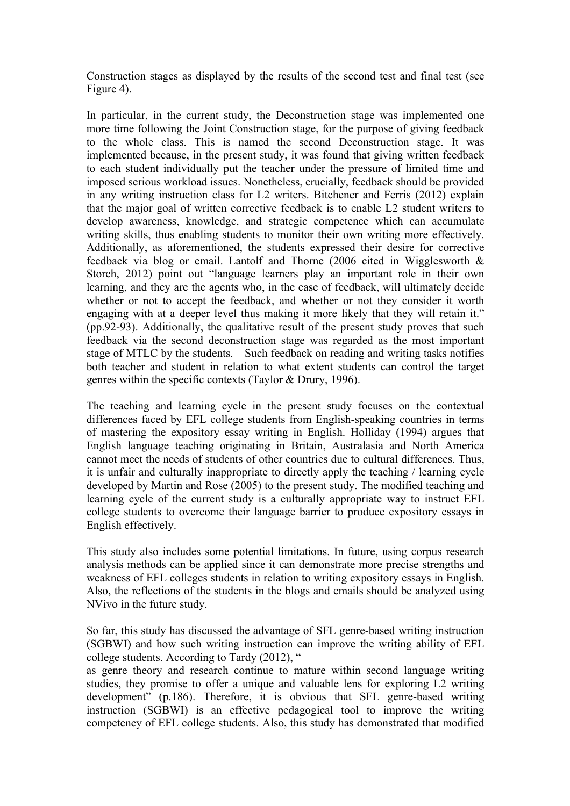Construction stages as displayed by the results of the second test and final test (see Figure 4).

In particular, in the current study, the Deconstruction stage was implemented one more time following the Joint Construction stage, for the purpose of giving feedback to the whole class. This is named the second Deconstruction stage. It was implemented because, in the present study, it was found that giving written feedback to each student individually put the teacher under the pressure of limited time and imposed serious workload issues. Nonetheless, crucially, feedback should be provided in any writing instruction class for L2 writers. Bitchener and Ferris (2012) explain that the major goal of written corrective feedback is to enable L2 student writers to develop awareness, knowledge, and strategic competence which can accumulate writing skills, thus enabling students to monitor their own writing more effectively. Additionally, as aforementioned, the students expressed their desire for corrective feedback via blog or email. Lantolf and Thorne (2006 cited in Wigglesworth & Storch, 2012) point out "language learners play an important role in their own learning, and they are the agents who, in the case of feedback, will ultimately decide whether or not to accept the feedback, and whether or not they consider it worth engaging with at a deeper level thus making it more likely that they will retain it." (pp.92-93). Additionally, the qualitative result of the present study proves that such feedback via the second deconstruction stage was regarded as the most important stage of MTLC by the students. Such feedback on reading and writing tasks notifies both teacher and student in relation to what extent students can control the target genres within the specific contexts (Taylor & Drury, 1996).

The teaching and learning cycle in the present study focuses on the contextual differences faced by EFL college students from English-speaking countries in terms of mastering the expository essay writing in English. Holliday (1994) argues that English language teaching originating in Britain, Australasia and North America cannot meet the needs of students of other countries due to cultural differences. Thus, it is unfair and culturally inappropriate to directly apply the teaching / learning cycle developed by Martin and Rose (2005) to the present study. The modified teaching and learning cycle of the current study is a culturally appropriate way to instruct EFL college students to overcome their language barrier to produce expository essays in English effectively.

This study also includes some potential limitations. In future, using corpus research analysis methods can be applied since it can demonstrate more precise strengths and weakness of EFL colleges students in relation to writing expository essays in English. Also, the reflections of the students in the blogs and emails should be analyzed using NVivo in the future study.

So far, this study has discussed the advantage of SFL genre-based writing instruction (SGBWI) and how such writing instruction can improve the writing ability of EFL college students. According to Tardy (2012), "

as genre theory and research continue to mature within second language writing studies, they promise to offer a unique and valuable lens for exploring L2 writing development" (p.186). Therefore, it is obvious that SFL genre-based writing instruction (SGBWI) is an effective pedagogical tool to improve the writing competency of EFL college students. Also, this study has demonstrated that modified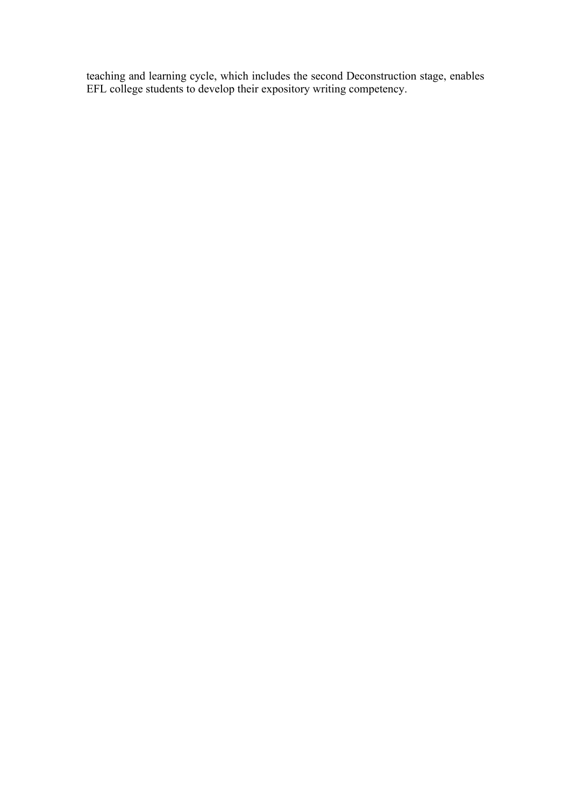teaching and learning cycle, which includes the second Deconstruction stage, enables EFL college students to develop their expository writing competency.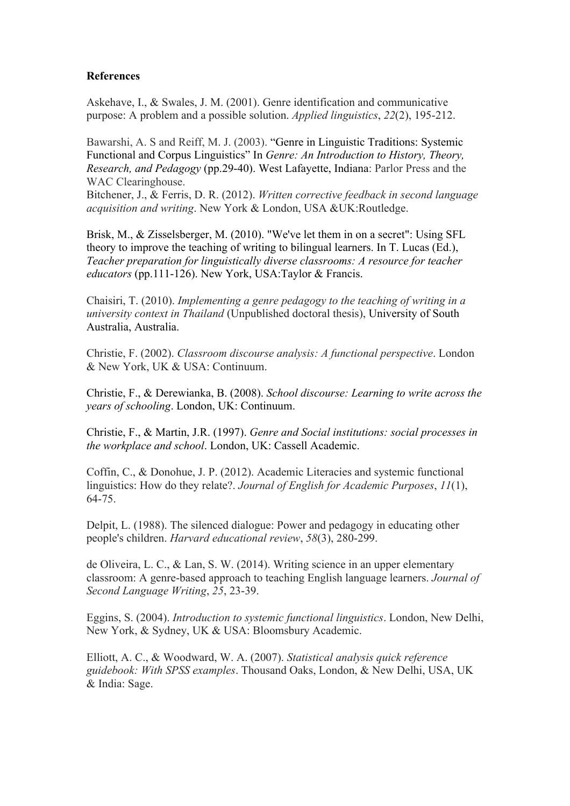## **References**

Askehave, I., & Swales, J. M. (2001). Genre identification and communicative purpose: A problem and a possible solution. *Applied linguistics*, *22*(2), 195-212.

Bawarshi, A. S and Reiff, M. J. (2003). "Genre in Linguistic Traditions: Systemic Functional and Corpus Linguistics" In *Genre: An Introduction to History, Theory, Research, and Pedagogy* (pp.29-40). West Lafayette, Indiana: Parlor Press and the WAC Clearinghouse.

Bitchener, J., & Ferris, D. R. (2012). *Written corrective feedback in second language acquisition and writing*. New York & London, USA &UK:Routledge.

Brisk, M., & Zisselsberger, M. (2010). "We've let them in on a secret": Using SFL theory to improve the teaching of writing to bilingual learners. In T. Lucas (Ed.), *Teacher preparation for linguistically diverse classrooms: A resource for teacher educators* (pp.111-126). New York, USA:Taylor & Francis.

Chaisiri, T. (2010). *Implementing a genre pedagogy to the teaching of writing in a university context in Thailand* (Unpublished doctoral thesis), University of South Australia, Australia.

Christie, F. (2002). *Classroom discourse analysis: A functional perspective*. London & New York, UK & USA: Continuum.

Christie, F., & Derewianka, B. (2008). *School discourse: Learning to write across the years of schooling*. London, UK: Continuum.

Christie, F., & Martin, J.R. (1997). *Genre and Social institutions: social processes in the workplace and school*. London, UK: Cassell Academic.

Coffin, C., & Donohue, J. P. (2012). Academic Literacies and systemic functional linguistics: How do they relate?. *Journal of English for Academic Purposes*, *11*(1), 64-75.

Delpit, L. (1988). The silenced dialogue: Power and pedagogy in educating other people's children. *Harvard educational review*, *58*(3), 280-299.

de Oliveira, L. C., & Lan, S. W. (2014). Writing science in an upper elementary classroom: A genre-based approach to teaching English language learners. *Journal of Second Language Writing*, *25*, 23-39.

Eggins, S. (2004). *Introduction to systemic functional linguistics*. London, New Delhi, New York, & Sydney, UK & USA: Bloomsbury Academic.

Elliott, A. C., & Woodward, W. A. (2007). *Statistical analysis quick reference guidebook: With SPSS examples*. Thousand Oaks, London, & New Delhi, USA, UK & India: Sage.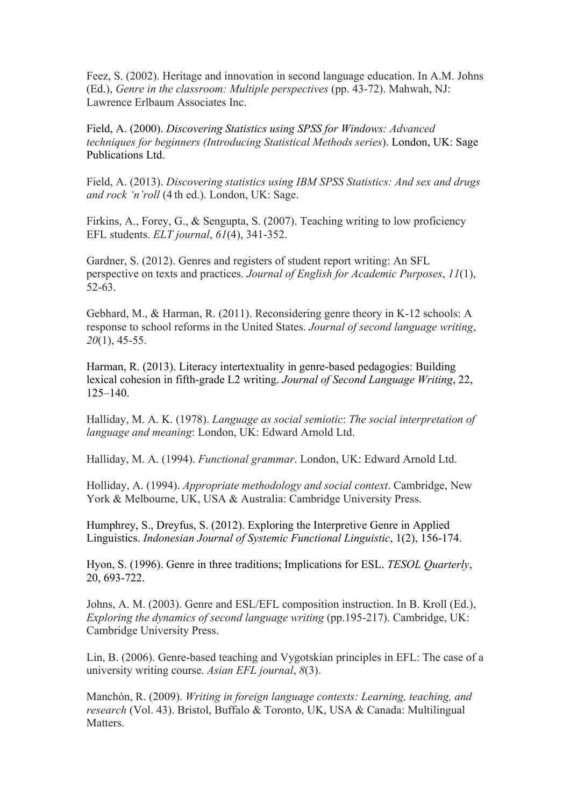Feez, S. (2002). Heritage and innovation in second language education. In A.M. Johns (Ed.), *Genre in the classroom: Multiple perspectives* (pp. 43-72). Mahwah, NJ: Lawrence Erlbaum Associates Inc.

Field, A. (2000). *Discovering Statistics using SPSS for Windows: Advanced techniques for beginners (Introducing Statistical Methods series*). London, UK: Sage Publications Ltd.

Field, A. (2013). *Discovering statistics using IBM SPSS Statistics: And sex and drugs and rock 'n'roll* (4 th ed.). London, UK: Sage.

Firkins, A., Forey, G., & Sengupta, S. (2007). Teaching writing to low proficiency EFL students. *ELT journal*, *61*(4), 341-352.

Gardner, S. (2012). Genres and registers of student report writing: An SFL perspective on texts and practices. *Journal of English for Academic Purposes*, *11*(1), 52-63.

Gebhard, M., & Harman, R. (2011). Reconsidering genre theory in K-12 schools: A response to school reforms in the United States. *Journal of second language writing*, *20*(1), 45-55.

Harman, R. (2013). Literacy intertextuality in genre-based pedagogies: Building lexical cohesion in fifth-grade L2 writing. *Journal of Second Language Writing*, 22, 125–140.

Halliday, M. A. K. (1978). *Language as social semiotic*: *The social interpretation of language and meaning*: London, UK: Edward Arnold Ltd.

Halliday, M. A. (1994). *Functional grammar*. London, UK: Edward Arnold Ltd.

Holliday, A. (1994). *Appropriate methodology and social context*. Cambridge, New York & Melbourne, UK, USA & Australia: Cambridge University Press.

Humphrey, S., Dreyfus, S. (2012). Exploring the Interpretive Genre in Applied Linguistics. *Indonesian Journal of Systemic Functional Linguistic*, 1(2), 156-174.

Hyon, S. (1996). Genre in three traditions; Implications for ESL. *TESOL Quarterly*, 20, 693-722.

Johns, A. M. (2003). Genre and ESL/EFL composition instruction. In B. Kroll (Ed.), *Exploring the dynamics of second language writing* (pp.195-217). Cambridge, UK: Cambridge University Press.

Lin, B. (2006). Genre-based teaching and Vygotskian principles in EFL: The case of a university writing course. *Asian EFL journal*, *8*(3).

Manchón, R. (2009). *Writing in foreign language contexts: Learning, teaching, and research* (Vol. 43). Bristol, Buffalo & Toronto, UK, USA & Canada: Multilingual **Matters**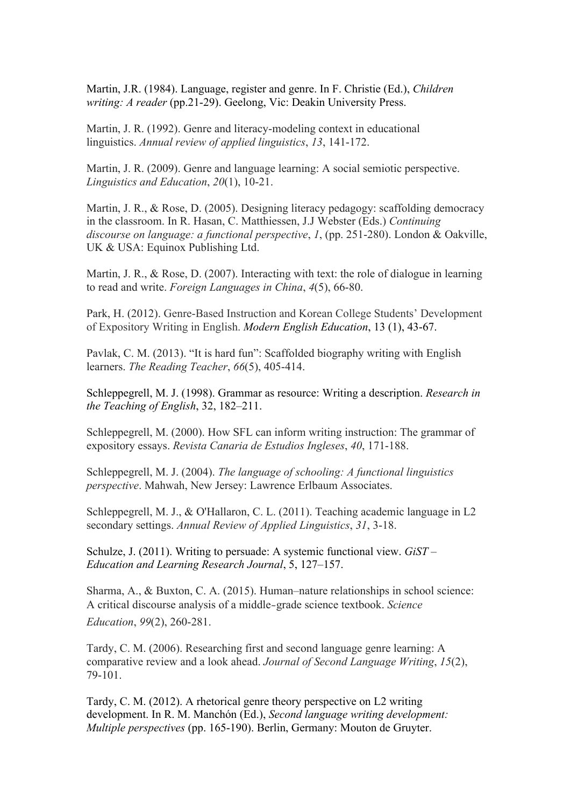Martin, J.R. (1984). Language, register and genre. In F. Christie (Ed.), *Children writing: A reader* (pp.21-29). Geelong, Vic: Deakin University Press.

Martin, J. R. (1992). Genre and literacy-modeling context in educational linguistics. *Annual review of applied linguistics*, *13*, 141-172.

Martin, J. R. (2009). Genre and language learning: A social semiotic perspective. *Linguistics and Education*, *20*(1), 10-21.

Martin, J. R., & Rose, D. (2005). Designing literacy pedagogy: scaffolding democracy in the classroom. In R. Hasan, C. Matthiessen, J.J Webster (Eds.) *Continuing discourse on language: a functional perspective*, *1*, (pp. 251-280). London & Oakville, UK & USA: Equinox Publishing Ltd.

Martin, J. R., & Rose, D. (2007). Interacting with text: the role of dialogue in learning to read and write. *Foreign Languages in China*, *4*(5), 66-80.

Park, H. (2012). Genre-Based Instruction and Korean College Students' Development of Expository Writing in English. *Modern English Education*, 13 (1), 43-67.

Pavlak, C. M. (2013). "It is hard fun": Scaffolded biography writing with English learners. *The Reading Teacher*, *66*(5), 405-414.

Schleppegrell, M. J. (1998). Grammar as resource: Writing a description. *Research in the Teaching of English*, 32, 182–211.

Schleppegrell, M. (2000). How SFL can inform writing instruction: The grammar of expository essays. *Revista Canaria de Estudios Ingleses*, *40*, 171-188.

Schleppegrell, M. J. (2004). *The language of schooling: A functional linguistics perspective*. Mahwah, New Jersey: Lawrence Erlbaum Associates.

Schleppegrell, M. J., & O'Hallaron, C. L. (2011). Teaching academic language in L2 secondary settings. *Annual Review of Applied Linguistics*, *31*, 3-18.

Schulze, J. (2011). Writing to persuade: A systemic functional view. *GiST – Education and Learning Research Journal*, 5, 127–157.

Sharma, A., & Buxton, C. A. (2015). Human–nature relationships in school science: A critical discourse analysis of a middle‐grade science textbook. *Science Education*, *99*(2), 260-281.

Tardy, C. M. (2006). Researching first and second language genre learning: A comparative review and a look ahead. *Journal of Second Language Writing*, *15*(2), 79-101.

Tardy, C. M. (2012). A rhetorical genre theory perspective on L2 writing development. In R. M. Manchón (Ed.), *Second language writing development: Multiple perspectives* (pp. 165-190). Berlin, Germany: Mouton de Gruyter.